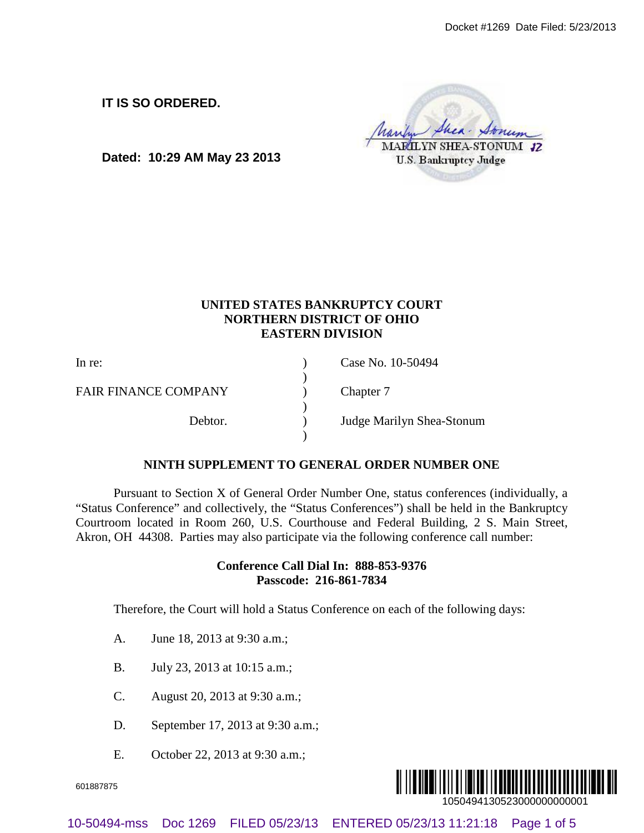**IT IS SO ORDERED.**

**Dated: 10:29 AM May 23 2013**

# **UNITED STATES BANKRUPTCY COURT NORTHERN DISTRICT OF OHIO EASTERN DIVISION**

In re: (a) Case No. 10-50494 ) FAIR FINANCE COMPANY (a) Chapter 7 ) Debtor. ) Judge Marilyn Shea-Stonum ) Doctet 1708 **Doctet ED.**<br>
Dated: 10:29 AM May 23 2013<br>  $\frac{\sqrt{3\epsilon_{\text{E}}\epsilon_{\text{M}}\sqrt{3\epsilon_{\text{M}}}}\sqrt{3\epsilon_{\text{M}}}}{\sqrt{3\epsilon_{\text{M}}}}\sqrt{3\epsilon_{\text{M}}}\sqrt{3\epsilon_{\text{M}}}}$ <br>
UNITED 87 THE SURVEY ON THE CONTEXT CONTRACT CONTRACT CONTRACT CONTRACT CONT

### **NINTH SUPPLEMENT TO GENERAL ORDER NUMBER ONE**

Pursuant to Section X of General Order Number One, status conferences (individually, a "Status Conference" and collectively, the "Status Conferences") shall be held in the Bankruptcy Courtroom located in Room 260, U.S. Courthouse and Federal Building, 2 S. Main Street, Akron, OH 44308. Parties may also participate via the following conference call number:

## **Conference Call Dial In: 888-853-9376 Passcode: 216-861-7834**

Therefore, the Court will hold a Status Conference on each of the following days:

- A. June 18, 2013 at 9:30 a.m.;
- B. July 23, 2013 at 10:15 a.m.;
- C. August 20, 2013 at 9:30 a.m.;
- D. September 17, 2013 at 9:30 a.m.;
- E. October 22, 2013 at 9:30 a.m.;

601887875

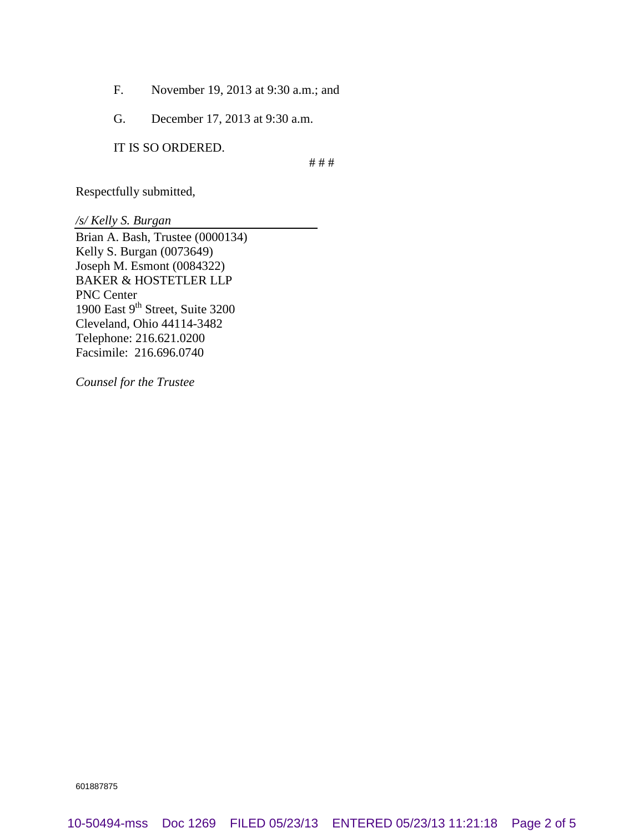- F. November 19, 2013 at 9:30 a.m.; and
- G. December 17, 2013 at 9:30 a.m.

IT IS SO ORDERED.

# # #

Respectfully submitted,

*/s/ Kelly S. Burgan*

Brian A. Bash, Trustee (0000134) Kelly S. Burgan (0073649) Joseph M. Esmont (0084322) BAKER & HOSTETLER LLP PNC Center 1900 East 9<sup>th</sup> Street, Suite 3200 Cleveland, Ohio 44114-3482 Telephone: 216.621.0200 Facsimile: 216.696.0740

*Counsel for the Trustee*

601887875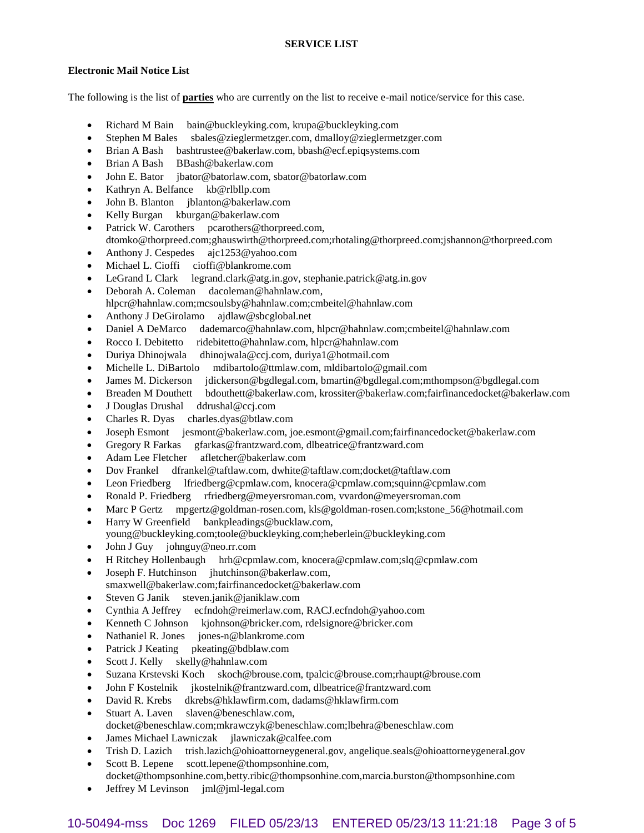#### **Electronic Mail Notice List**

The following is the list of **parties** who are currently on the list to receive e-mail notice/service for this case.

- Richard M Bain bain@buckleyking.com, krupa@buckleyking.com
- Stephen M Bales sbales@zieglermetzger.com, dmalloy@zieglermetzger.com
- Brian A Bash bashtrustee@bakerlaw.com, bbash@ecf.epiqsystems.com
- Brian A Bash BBash@bakerlaw.com
- John E. Bator jbator@batorlaw.com, sbator@batorlaw.com
- Kathryn A. Belfance kb@rlbllp.com
- John B. Blanton jblanton@bakerlaw.com
- Kelly Burgan kburgan@bakerlaw.com
- Patrick W. Carothers pcarothers@thorpreed.com,
- dtomko@thorpreed.com;ghauswirth@thorpreed.com;rhotaling@thorpreed.com;jshannon@thorpreed.com
- Anthony J. Cespedes ajc1253@yahoo.com
- Michael L. Cioffi cioffi@blankrome.com
- LeGrand L Clark legrand.clark@atg.in.gov, stephanie.patrick@atg.in.gov
- Deborah A. Coleman dacoleman@hahnlaw.com, hlpcr@hahnlaw.com;mcsoulsby@hahnlaw.com;cmbeitel@hahnlaw.com
- Anthony J DeGirolamo ajdlaw@sbcglobal.net
- Daniel A DeMarco dademarco@hahnlaw.com, hlpcr@hahnlaw.com;cmbeitel@hahnlaw.com
- Rocco I. Debitetto ridebitetto@hahnlaw.com, hlpcr@hahnlaw.com
- Duriya Dhinojwala dhinojwala@ccj.com, duriya1@hotmail.com
- Michelle L. DiBartolo mdibartolo@ttmlaw.com, mldibartolo@gmail.com
- James M. Dickerson jdickerson@bgdlegal.com, bmartin@bgdlegal.com;mthompson@bgdlegal.com
- Breaden M Douthett bdouthett@bakerlaw.com, krossiter@bakerlaw.com;fairfinancedocket@bakerlaw.com
- J Douglas Drushal ddrushal@ccj.com
- Charles R. Dyas charles.dyas@btlaw.com
- Joseph Esmont jesmont@bakerlaw.com, joe.esmont@gmail.com;fairfinancedocket@bakerlaw.com
- Gregory R Farkas gfarkas@frantzward.com, dlbeatrice@frantzward.com
- Adam Lee Fletcher afletcher@bakerlaw.com
- Dov Frankel dfrankel@taftlaw.com, dwhite@taftlaw.com;docket@taftlaw.com
- Leon Friedberg lfriedberg@cpmlaw.com, knocera@cpmlaw.com;squinn@cpmlaw.com
- Ronald P. Friedberg rfriedberg@meyersroman.com, vvardon@meyersroman.com
- Marc P Gertz mpgertz@goldman-rosen.com, kls@goldman-rosen.com;kstone\_56@hotmail.com
- Harry W Greenfield bankpleadings@bucklaw.com, young@buckleyking.com;toole@buckleyking.com;heberlein@buckleyking.com
- John J Guy johnguy@neo.rr.com
- H Ritchey Hollenbaugh hrh@cpmlaw.com, knocera@cpmlaw.com;slq@cpmlaw.com
- Joseph F. Hutchinson jhutchinson@bakerlaw.com,
- smaxwell@bakerlaw.com;fairfinancedocket@bakerlaw.com
- Steven G Janik steven.janik@janiklaw.com
- Cynthia A Jeffrey ecfndoh@reimerlaw.com, RACJ.ecfndoh@yahoo.com
- Kenneth C Johnson kjohnson@bricker.com, rdelsignore@bricker.com
- Nathaniel R. Jones jones-n@blankrome.com
- Patrick J Keating pkeating@bdblaw.com
- Scott J. Kelly skelly@hahnlaw.com
- Suzana Krstevski Koch skoch@brouse.com, tpalcic@brouse.com;rhaupt@brouse.com
- John F Kostelnik jkostelnik@frantzward.com, dlbeatrice@frantzward.com
- David R. Krebs dkrebs@hklawfirm.com, dadams@hklawfirm.com
- Stuart A. Laven slaven@beneschlaw.com, docket@beneschlaw.com;mkrawczyk@beneschlaw.com;lbehra@beneschlaw.com
- James Michael Lawniczak jlawniczak@calfee.com
- Trish D. Lazich trish.lazich@ohioattorneygeneral.gov, angelique.seals@ohioattorneygeneral.gov
- Scott B. Lepene scott.lepene@thompsonhine.com, docket@thompsonhine.com,betty.ribic@thompsonhine.com,marcia.burston@thompsonhine.com
- Jeffrey M Levinson jml@jml-legal.com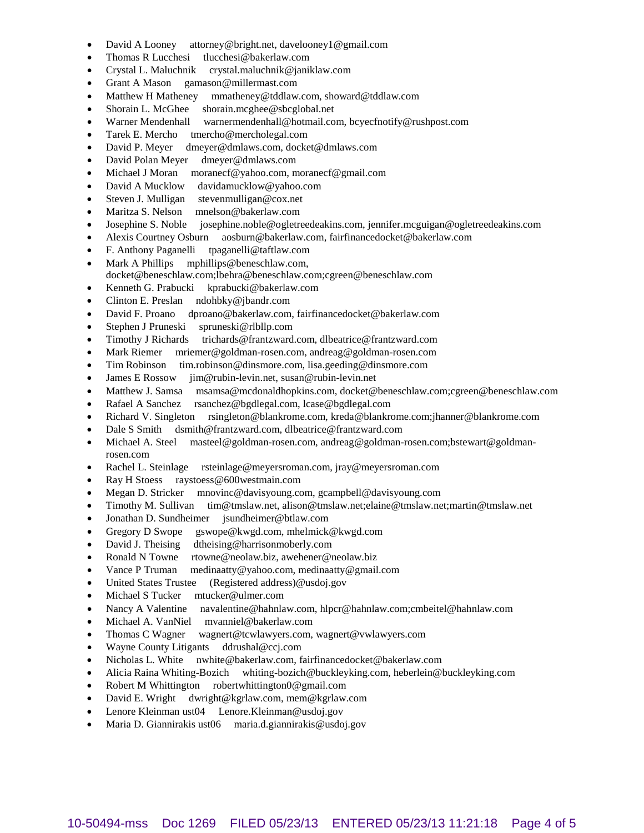- David A Looney attorney@bright.net, davelooney1@gmail.com
- Thomas R Lucchesi tlucchesi@bakerlaw.com
- Crystal L. Maluchnik crystal.maluchnik@janiklaw.com
- Grant A Mason gamason@millermast.com
- Matthew H Matheney mmatheney@tddlaw.com, showard@tddlaw.com
- Shorain L. McGhee shorain.mcghee@sbcglobal.net
- Warner Mendenhall warnermendenhall@hotmail.com, bcyecfnotify@rushpost.com
- Tarek E. Mercho tmercho@mercholegal.com
- David P. Meyer dmeyer@dmlaws.com, docket@dmlaws.com
- David Polan Meyer dmeyer@dmlaws.com
- Michael J Moran moranecf@yahoo.com, moranecf@gmail.com
- David A Mucklow davidamucklow@yahoo.com
- Steven J. Mulligan stevenmulligan@cox.net
- Maritza S. Nelson mnelson@bakerlaw.com
- Josephine S. Noble josephine.noble@ogletreedeakins.com, jennifer.mcguigan@ogletreedeakins.com
- Alexis Courtney Osburn aosburn@bakerlaw.com, fairfinancedocket@bakerlaw.com
- F. Anthony Paganelli tpaganelli@taftlaw.com
- Mark A Phillips mphillips@beneschlaw.com, docket@beneschlaw.com;lbehra@beneschlaw.com;cgreen@beneschlaw.com
- Kenneth G. Prabucki kprabucki@bakerlaw.com
- Clinton E. Preslan ndohbky@jbandr.com
- David F. Proano dproano@bakerlaw.com, fairfinancedocket@bakerlaw.com
- Stephen J Pruneski spruneski@rlbllp.com
- Timothy J Richards trichards@frantzward.com, dlbeatrice@frantzward.com
- Mark Riemer mriemer@goldman-rosen.com, andreag@goldman-rosen.com
- Tim Robinson tim.robinson@dinsmore.com, lisa.geeding@dinsmore.com
- James E Rossow jim@rubin-levin.net, susan@rubin-levin.net
- Matthew J. Samsa msamsa@mcdonaldhopkins.com, docket@beneschlaw.com;cgreen@beneschlaw.com
- Rafael A Sanchez rsanchez@bgdlegal.com, lcase@bgdlegal.com
- Richard V. Singleton rsingleton@blankrome.com, kreda@blankrome.com;jhanner@blankrome.com
- Dale S Smith dsmith@frantzward.com, dlbeatrice@frantzward.com
- Michael A. Steel masteel@goldman-rosen.com, andreag@goldman-rosen.com;bstewart@goldmanrosen.com
- Rachel L. Steinlage rsteinlage@meyersroman.com, jray@meyersroman.com
- Ray H Stoess raystoess@600westmain.com
- Megan D. Stricker mnovinc@davisyoung.com, gcampbell@davisyoung.com
- Timothy M. Sullivan tim@tmslaw.net, alison@tmslaw.net;elaine@tmslaw.net;martin@tmslaw.net
- Jonathan D. Sundheimer jsundheimer@btlaw.com
- Gregory D Swope gswope@kwgd.com, mhelmick@kwgd.com
- David J. Theising dtheising@harrisonmoberly.com
- Ronald N Towne rtowne@neolaw.biz, awehener@neolaw.biz
- Vance P Truman medinaatty@yahoo.com, medinaatty@gmail.com
- United States Trustee (Registered address)@usdoj.gov
- Michael S Tucker mtucker@ulmer.com
- Nancy A Valentine navalentine@hahnlaw.com, hlpcr@hahnlaw.com;cmbeitel@hahnlaw.com
- Michael A. VanNiel mvanniel@bakerlaw.com
- Thomas C Wagner wagnert@tcwlawyers.com, wagnert@vwlawyers.com
- Wayne County Litigants ddrushal@ccj.com
- Nicholas L. White nwhite@bakerlaw.com, fairfinancedocket@bakerlaw.com
- Alicia Raina Whiting-Bozich whiting-bozich@buckleyking.com, heberlein@buckleyking.com
- Robert M Whittington robertwhittington0@gmail.com
- David E. Wright dwright@kgrlaw.com, mem@kgrlaw.com
- Lenore Kleinman ust04 Lenore.Kleinman@usdoj.gov
- Maria D. Giannirakis ust06 maria.d.giannirakis@usdoj.gov